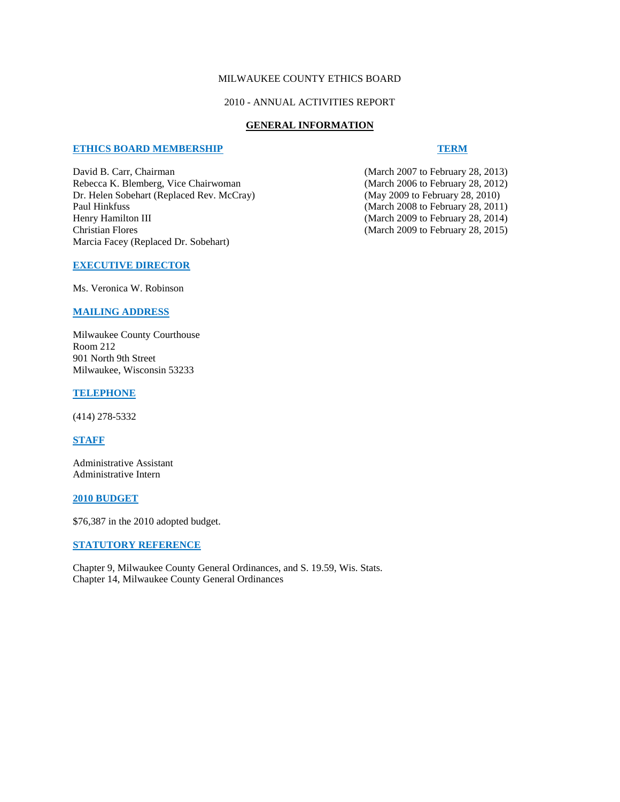# MILWAUKEE COUNTY ETHICS BOARD

### 2010 - ANNUAL ACTIVITIES REPORT

#### **GENERAL INFORMATION**

#### **ETHICS BOARD MEMBERSHIP TERM**

David B. Carr, Chairman (March 2007 to February 28, 2013)<br>Rebecca K. Blemberg, Vice Chairwoman (March 2006 to February 28, 2012) Rebecca K. Blemberg, Vice Chairwoman Dr. Helen Sobehart (Replaced Rev. McCray) (May 2009 to February 28, 2010) Paul Hinkfuss (March 2008 to February 28, 2011)<br>Henry Hamilton III (March 2009 to February 28, 2014) Christian Flores (March 2009 to February 28, 2015) Marcia Facey (Replaced Dr. Sobehart)

(March 2009 to February 28, 2014)

## **EXECUTIVE DIRECTOR**

Ms. Veronica W. Robinson

# **MAILING ADDRESS**

Milwaukee County Courthouse Room 212 901 North 9th Street Milwaukee, Wisconsin 53233

#### **TELEPHONE**

(414) 278-5332

# **STAFF**

Administrative Assistant Administrative Intern

## **2010 BUDGET**

\$76,387 in the 2010 adopted budget.

#### **STATUTORY REFERENCE**

Chapter 9, Milwaukee County General Ordinances, and S. 19.59, Wis. Stats. Chapter 14, Milwaukee County General Ordinances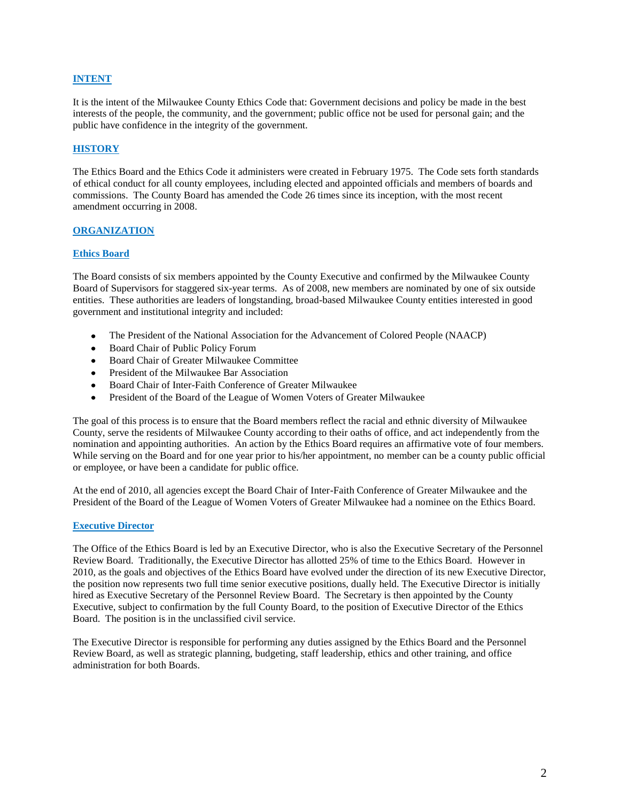## **INTENT**

It is the intent of the Milwaukee County Ethics Code that: Government decisions and policy be made in the best interests of the people, the community, and the government; public office not be used for personal gain; and the public have confidence in the integrity of the government.

## **HISTORY**

The Ethics Board and the Ethics Code it administers were created in February 1975. The Code sets forth standards of ethical conduct for all county employees, including elected and appointed officials and members of boards and commissions. The County Board has amended the Code 26 times since its inception, with the most recent amendment occurring in 2008.

# **ORGANIZATION**

#### **Ethics Board**

The Board consists of six members appointed by the County Executive and confirmed by the Milwaukee County Board of Supervisors for staggered six-year terms. As of 2008, new members are nominated by one of six outside entities. These authorities are leaders of longstanding, broad-based Milwaukee County entities interested in good government and institutional integrity and included:

- The President of the National Association for the Advancement of Colored People (NAACP)
- Board Chair of Public Policy Forum
- Board Chair of Greater Milwaukee Committee
- President of the Milwaukee Bar Association
- Board Chair of Inter-Faith Conference of Greater Milwaukee  $\bullet$
- $\bullet$ President of the Board of the League of Women Voters of Greater Milwaukee

The goal of this process is to ensure that the Board members reflect the racial and ethnic diversity of Milwaukee County, serve the residents of Milwaukee County according to their oaths of office, and act independently from the nomination and appointing authorities. An action by the Ethics Board requires an affirmative vote of four members. While serving on the Board and for one year prior to his/her appointment, no member can be a county public official or employee, or have been a candidate for public office.

At the end of 2010, all agencies except the Board Chair of Inter-Faith Conference of Greater Milwaukee and the President of the Board of the League of Women Voters of Greater Milwaukee had a nominee on the Ethics Board.

#### **Executive Director**

The Office of the Ethics Board is led by an Executive Director, who is also the Executive Secretary of the Personnel Review Board. Traditionally, the Executive Director has allotted 25% of time to the Ethics Board. However in 2010, as the goals and objectives of the Ethics Board have evolved under the direction of its new Executive Director, the position now represents two full time senior executive positions, dually held. The Executive Director is initially hired as Executive Secretary of the Personnel Review Board. The Secretary is then appointed by the County Executive, subject to confirmation by the full County Board, to the position of Executive Director of the Ethics Board. The position is in the unclassified civil service.

The Executive Director is responsible for performing any duties assigned by the Ethics Board and the Personnel Review Board, as well as strategic planning, budgeting, staff leadership, ethics and other training, and office administration for both Boards.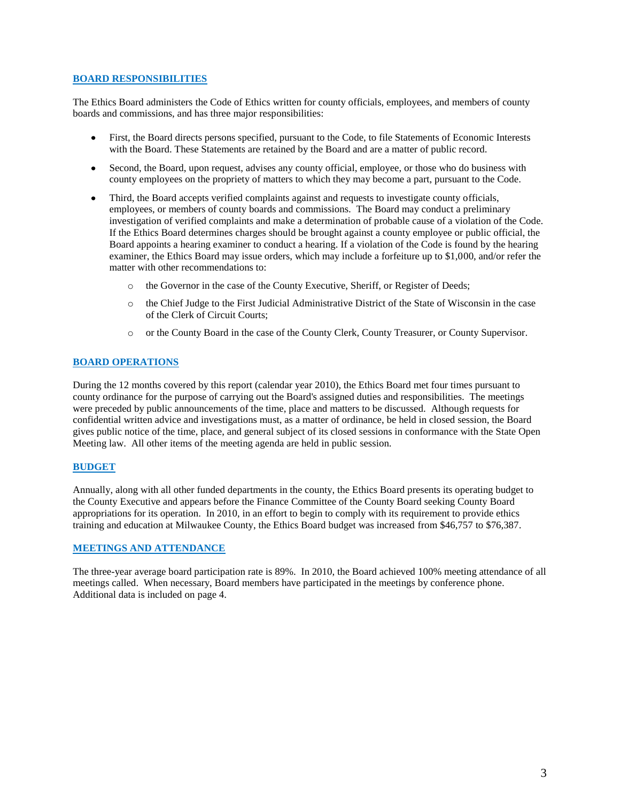## **BOARD RESPONSIBILITIES**

The Ethics Board administers the Code of Ethics written for county officials, employees, and members of county boards and commissions, and has three major responsibilities:

- $\bullet$ First, the Board directs persons specified, pursuant to the Code, to file Statements of Economic Interests with the Board. These Statements are retained by the Board and are a matter of public record.
- Second, the Board, upon request, advises any county official, employee, or those who do business with  $\bullet$ county employees on the propriety of matters to which they may become a part, pursuant to the Code.
- Third, the Board accepts verified complaints against and requests to investigate county officials, employees, or members of county boards and commissions. The Board may conduct a preliminary investigation of verified complaints and make a determination of probable cause of a violation of the Code. If the Ethics Board determines charges should be brought against a county employee or public official, the Board appoints a hearing examiner to conduct a hearing. If a violation of the Code is found by the hearing examiner, the Ethics Board may issue orders, which may include a forfeiture up to \$1,000, and/or refer the matter with other recommendations to:
	- o the Governor in the case of the County Executive, Sheriff, or Register of Deeds;
	- o the Chief Judge to the First Judicial Administrative District of the State of Wisconsin in the case of the Clerk of Circuit Courts;
	- o or the County Board in the case of the County Clerk, County Treasurer, or County Supervisor.

#### **BOARD OPERATIONS**

During the 12 months covered by this report (calendar year 2010), the Ethics Board met four times pursuant to county ordinance for the purpose of carrying out the Board's assigned duties and responsibilities. The meetings were preceded by public announcements of the time, place and matters to be discussed. Although requests for confidential written advice and investigations must, as a matter of ordinance, be held in closed session, the Board gives public notice of the time, place, and general subject of its closed sessions in conformance with the State Open Meeting law. All other items of the meeting agenda are held in public session.

#### **BUDGET**

Annually, along with all other funded departments in the county, the Ethics Board presents its operating budget to the County Executive and appears before the Finance Committee of the County Board seeking County Board appropriations for its operation. In 2010, in an effort to begin to comply with its requirement to provide ethics training and education at Milwaukee County, the Ethics Board budget was increased from \$46,757 to \$76,387.

# **MEETINGS AND ATTENDANCE**

The three-year average board participation rate is 89%. In 2010, the Board achieved 100% meeting attendance of all meetings called. When necessary, Board members have participated in the meetings by conference phone. Additional data is included on page 4.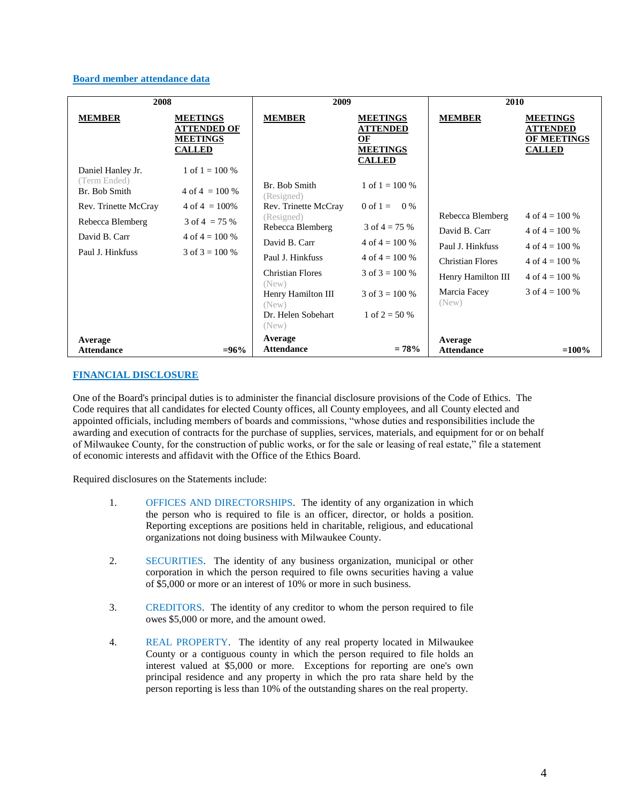## **Board member attendance data**

| 2008                                               |                                                                            | 2009                                                       |                                                                              | 2010                                 |                                                                    |  |
|----------------------------------------------------|----------------------------------------------------------------------------|------------------------------------------------------------|------------------------------------------------------------------------------|--------------------------------------|--------------------------------------------------------------------|--|
| <b>MEMBER</b>                                      | <b>MEETINGS</b><br><b>ATTENDED OF</b><br><b>MEETINGS</b><br><b>CALLED</b>  | <b>MEMBER</b>                                              | <b>MEETINGS</b><br><b>ATTENDED</b><br>ОF<br><b>MEETINGS</b><br><b>CALLED</b> | <b>MEMBER</b>                        | <b>MEETINGS</b><br><b>ATTENDED</b><br>OF MEETINGS<br><b>CALLED</b> |  |
| Daniel Hanley Jr.<br>(Term Ended)<br>Br. Bob Smith | 1 of $1 = 100\%$<br>$4 \text{ of } 4 = 100 \%$                             | Br. Bob Smith<br>(Resigned)                                | 1 of $1 = 100\%$                                                             |                                      |                                                                    |  |
| Rev. Trinette McCray<br>Rebecca Blemberg           | $4 \text{ of } 4 = 100\%$<br>$3 \text{ of } 4 = 75 \%$<br>4 of $4 = 100\%$ | Rev. Trinette McCray<br>(Resigned)<br>Rebecca Blemberg     | 0 of 1 = $0\%$<br>3 of $4 = 75%$                                             | Rebecca Blemberg<br>David B. Carr    | 4 of $4 = 100\%$<br>4 of $4 = 100\%$                               |  |
| David B. Carr<br>Paul J. Hinkfuss                  | 3 of $3 = 100\%$                                                           | David B. Carr<br>Paul J. Hinkfuss                          | 4 of $4 = 100\%$<br>4 of $4 = 100\%$                                         | Paul J. Hinkfuss<br>Christian Flores | 4 of $4 = 100\%$<br>4 of $4 = 100\%$                               |  |
|                                                    |                                                                            | <b>Christian Flores</b><br>(New)                           | 3 of $3 = 100\%$<br>3 of $3 = 100\%$                                         | Henry Hamilton III<br>Marcia Facey   | $4 \text{ of } 4 = 100\%$<br>3 of $4 = 100\%$                      |  |
|                                                    |                                                                            | Henry Hamilton III<br>(New)<br>Dr. Helen Sobehart<br>(New) | 1 of $2 = 50\%$                                                              | (New)                                |                                                                    |  |
| Average<br><b>Attendance</b>                       | $= 96\%$                                                                   | Average<br><b>Attendance</b>                               | $= 78%$                                                                      | Average<br><b>Attendance</b>         | $=100%$                                                            |  |

## **FINANCIAL DISCLOSURE**

One of the Board's principal duties is to administer the financial disclosure provisions of the Code of Ethics. The Code requires that all candidates for elected County offices, all County employees, and all County elected and appointed officials, including members of boards and commissions, "whose duties and responsibilities include the awarding and execution of contracts for the purchase of supplies, services, materials, and equipment for or on behalf of Milwaukee County, for the construction of public works, or for the sale or leasing of real estate," file a statement of economic interests and affidavit with the Office of the Ethics Board.

Required disclosures on the Statements include:

- 1. OFFICES AND DIRECTORSHIPS. The identity of any organization in which the person who is required to file is an officer, director, or holds a position. Reporting exceptions are positions held in charitable, religious, and educational organizations not doing business with Milwaukee County.
- 2. SECURITIES. The identity of any business organization, municipal or other corporation in which the person required to file owns securities having a value of \$5,000 or more or an interest of 10% or more in such business.
- 3. CREDITORS. The identity of any creditor to whom the person required to file owes \$5,000 or more, and the amount owed.
- 4. REAL PROPERTY. The identity of any real property located in Milwaukee County or a contiguous county in which the person required to file holds an interest valued at \$5,000 or more. Exceptions for reporting are one's own principal residence and any property in which the pro rata share held by the person reporting is less than 10% of the outstanding shares on the real property.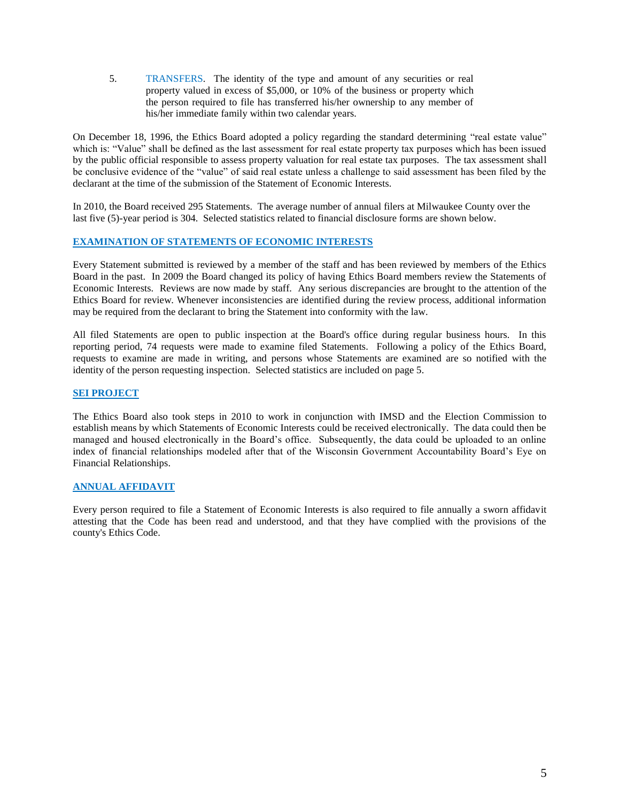5. TRANSFERS. The identity of the type and amount of any securities or real property valued in excess of \$5,000, or 10% of the business or property which the person required to file has transferred his/her ownership to any member of his/her immediate family within two calendar years.

On December 18, 1996, the Ethics Board adopted a policy regarding the standard determining "real estate value" which is: "Value" shall be defined as the last assessment for real estate property tax purposes which has been issued by the public official responsible to assess property valuation for real estate tax purposes. The tax assessment shall be conclusive evidence of the "value" of said real estate unless a challenge to said assessment has been filed by the declarant at the time of the submission of the Statement of Economic Interests.

In 2010, the Board received 295 Statements. The average number of annual filers at Milwaukee County over the last five (5)-year period is 304. Selected statistics related to financial disclosure forms are shown below.

# **EXAMINATION OF STATEMENTS OF ECONOMIC INTERESTS**

Every Statement submitted is reviewed by a member of the staff and has been reviewed by members of the Ethics Board in the past. In 2009 the Board changed its policy of having Ethics Board members review the Statements of Economic Interests. Reviews are now made by staff. Any serious discrepancies are brought to the attention of the Ethics Board for review. Whenever inconsistencies are identified during the review process, additional information may be required from the declarant to bring the Statement into conformity with the law.

All filed Statements are open to public inspection at the Board's office during regular business hours. In this reporting period, 74 requests were made to examine filed Statements. Following a policy of the Ethics Board, requests to examine are made in writing, and persons whose Statements are examined are so notified with the identity of the person requesting inspection. Selected statistics are included on page 5.

## **SEI PROJECT**

The Ethics Board also took steps in 2010 to work in conjunction with IMSD and the Election Commission to establish means by which Statements of Economic Interests could be received electronically. The data could then be managed and housed electronically in the Board's office. Subsequently, the data could be uploaded to an online index of financial relationships modeled after that of the Wisconsin Government Accountability Board's Eye on Financial Relationships.

# **ANNUAL AFFIDAVIT**

Every person required to file a Statement of Economic Interests is also required to file annually a sworn affidavit attesting that the Code has been read and understood, and that they have complied with the provisions of the county's Ethics Code.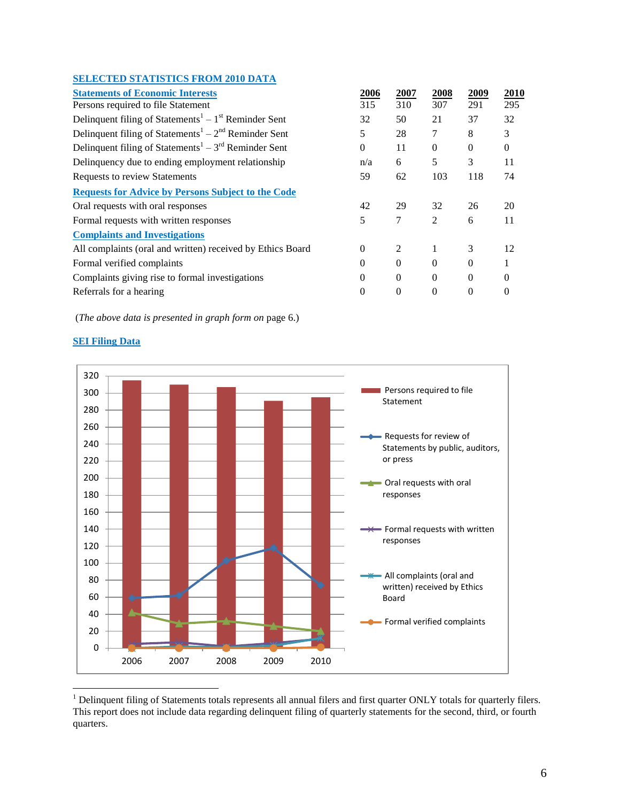# **SELECTED STATISTICS FROM 2010 DATA**

| <b>Statements of Economic Interests</b>                                      | 2006     | 2007           | 2008     | 2009     | 2010     |
|------------------------------------------------------------------------------|----------|----------------|----------|----------|----------|
| Persons required to file Statement                                           | 315      | 310            | 307      | 291      | 295      |
| Delinquent filing of Statements <sup>1</sup> – 1 <sup>st</sup> Reminder Sent | 32       | 50             | 21       | 37       | 32       |
| Delinquent filing of Statements <sup>1</sup> – $2nd$ Reminder Sent           | 5        | 28             | 7        | 8        | 3        |
| Delinquent filing of Statements <sup>1</sup> – $3rd$ Reminder Sent           | $\theta$ | 11             | $\theta$ | $\Omega$ | $\theta$ |
| Delinquency due to ending employment relationship                            | n/a      | 6              | 5        | 3        | 11       |
| Requests to review Statements                                                | 59       | 62             | 103      | 118      | 74       |
| <b>Requests for Advice by Persons Subject to the Code</b>                    |          |                |          |          |          |
| Oral requests with oral responses                                            | 42       | 29             | 32       | 26       | 20       |
| Formal requests with written responses                                       | 5        | 7              | 2        | 6        | 11       |
| <b>Complaints and Investigations</b>                                         |          |                |          |          |          |
| All complaints (oral and written) received by Ethics Board                   | $\Omega$ | $\mathfrak{D}$ |          | 3        | 12       |
| Formal verified complaints                                                   | 0        | $\Omega$       | $\Omega$ | $\Omega$ |          |
| Complaints giving rise to formal investigations                              | 0        | $\Omega$       | $\Omega$ | $\Omega$ |          |
| Referrals for a hearing                                                      | 0        | $\Omega$       | $\Omega$ | $\Omega$ |          |
|                                                                              |          |                |          |          |          |

(*The above data is presented in graph form on* page 6.)



# **SEI Filing Data**

<sup>&</sup>lt;sup>1</sup> Delinquent filing of Statements totals represents all annual filers and first quarter ONLY totals for quarterly filers. This report does not include data regarding delinquent filing of quarterly statements for the second, third, or fourth quarters.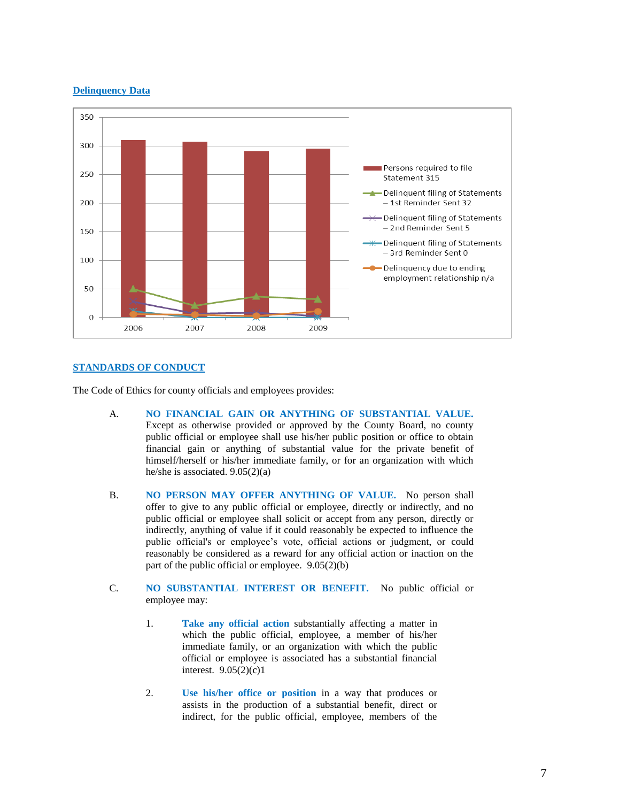## **Delinquency Data**



## **STANDARDS OF CONDUCT**

The Code of Ethics for county officials and employees provides:

- A. **NO FINANCIAL GAIN OR ANYTHING OF SUBSTANTIAL VALUE.** Except as otherwise provided or approved by the County Board, no county public official or employee shall use his/her public position or office to obtain financial gain or anything of substantial value for the private benefit of himself/herself or his/her immediate family, or for an organization with which he/she is associated. 9.05(2)(a)
- B. **NO PERSON MAY OFFER ANYTHING OF VALUE.** No person shall offer to give to any public official or employee, directly or indirectly, and no public official or employee shall solicit or accept from any person, directly or indirectly, anything of value if it could reasonably be expected to influence the public official's or employee's vote, official actions or judgment, or could reasonably be considered as a reward for any official action or inaction on the part of the public official or employee. 9.05(2)(b)
- C. **NO SUBSTANTIAL INTEREST OR BENEFIT.** No public official or employee may:
	- 1. **Take any official action** substantially affecting a matter in which the public official, employee, a member of his/her immediate family, or an organization with which the public official or employee is associated has a substantial financial interest. 9.05(2)(c)1
	- 2. **Use his/her office or position** in a way that produces or assists in the production of a substantial benefit, direct or indirect, for the public official, employee, members of the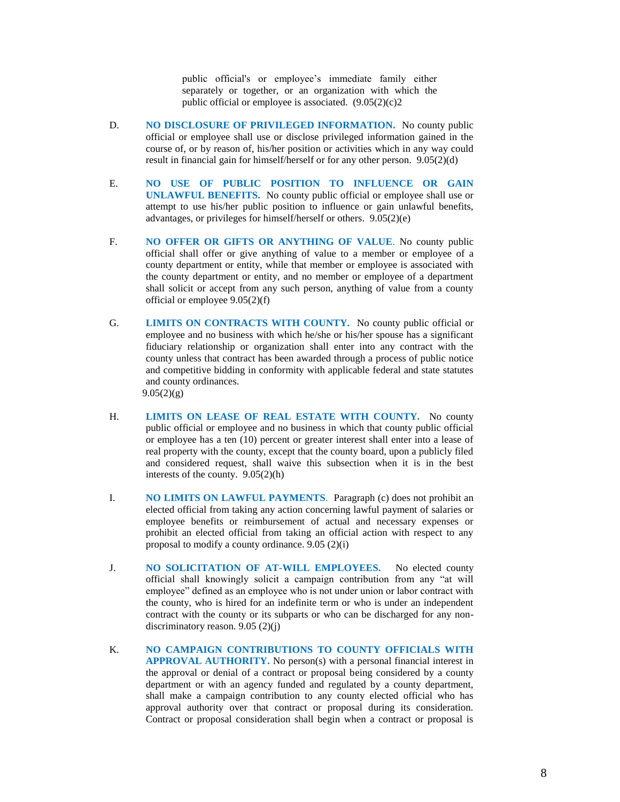public official's or employee's immediate family either separately or together, or an organization with which the public official or employee is associated.  $(9.05(2)(c)2)$ 

- D. **NO DISCLOSURE OF PRIVILEGED INFORMATION.** No county public official or employee shall use or disclose privileged information gained in the course of, or by reason of, his/her position or activities which in any way could result in financial gain for himself/herself or for any other person. 9.05(2)(d)
- E. **NO USE OF PUBLIC POSITION TO INFLUENCE OR GAIN UNLAWFUL BENEFITS.** No county public official or employee shall use or attempt to use his/her public position to influence or gain unlawful benefits, advantages, or privileges for himself/herself or others. 9.05(2)(e)
- F. **NO OFFER OR GIFTS OR ANYTHING OF VALUE**. No county public official shall offer or give anything of value to a member or employee of a county department or entity, while that member or employee is associated with the county department or entity, and no member or employee of a department shall solicit or accept from any such person, anything of value from a county official or employee 9.05(2)(f)
- G. **LIMITS ON CONTRACTS WITH COUNTY.** No county public official or employee and no business with which he/she or his/her spouse has a significant fiduciary relationship or organization shall enter into any contract with the county unless that contract has been awarded through a process of public notice and competitive bidding in conformity with applicable federal and state statutes and county ordinances.  $9.05(2)(g)$
- H. **LIMITS ON LEASE OF REAL ESTATE WITH COUNTY.** No county public official or employee and no business in which that county public official or employee has a ten (10) percent or greater interest shall enter into a lease of real property with the county, except that the county board, upon a publicly filed and considered request, shall waive this subsection when it is in the best interests of the county. 9.05(2)(h)
- I. **NO LIMITS ON LAWFUL PAYMENTS**. Paragraph (c) does not prohibit an elected official from taking any action concerning lawful payment of salaries or employee benefits or reimbursement of actual and necessary expenses or prohibit an elected official from taking an official action with respect to any proposal to modify a county ordinance. 9.05 (2)(i)
- J. **NO SOLICITATION OF AT-WILL EMPLOYEES.** No elected county official shall knowingly solicit a campaign contribution from any "at will employee" defined as an employee who is not under union or labor contract with the county, who is hired for an indefinite term or who is under an independent contract with the county or its subparts or who can be discharged for any nondiscriminatory reason. 9.05 (2)(j)
- K. **NO CAMPAIGN CONTRIBUTIONS TO COUNTY OFFICIALS WITH**  APPROVAL AUTHORITY. No person(s) with a personal financial interest in the approval or denial of a contract or proposal being considered by a county department or with an agency funded and regulated by a county department, shall make a campaign contribution to any county elected official who has approval authority over that contract or proposal during its consideration. Contract or proposal consideration shall begin when a contract or proposal is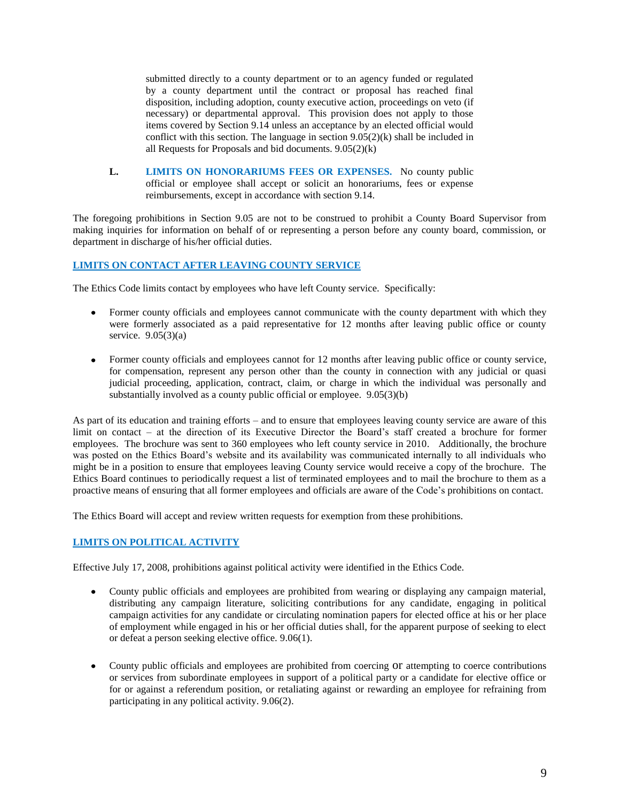submitted directly to a county department or to an agency funded or regulated by a county department until the contract or proposal has reached final disposition, including adoption, county executive action, proceedings on veto (if necessary) or departmental approval. This provision does not apply to those items covered by Section 9.14 unless an acceptance by an elected official would conflict with this section. The language in section 9.05(2)(k) shall be included in all Requests for Proposals and bid documents. 9.05(2)(k)

**L. LIMITS ON HONORARIUMS FEES OR EXPENSES.** No county public official or employee shall accept or solicit an honorariums, fees or expense reimbursements, except in accordance with section 9.14.

The foregoing prohibitions in Section 9.05 are not to be construed to prohibit a County Board Supervisor from making inquiries for information on behalf of or representing a person before any county board, commission, or department in discharge of his/her official duties.

# **LIMITS ON CONTACT AFTER LEAVING COUNTY SERVICE**

The Ethics Code limits contact by employees who have left County service. Specifically:

- Former county officials and employees cannot communicate with the county department with which they were formerly associated as a paid representative for 12 months after leaving public office or county service.  $9.05(3)(a)$
- Former county officials and employees cannot for 12 months after leaving public office or county service, for compensation, represent any person other than the county in connection with any judicial or quasi judicial proceeding, application, contract, claim, or charge in which the individual was personally and substantially involved as a county public official or employee. 9.05(3)(b)

As part of its education and training efforts – and to ensure that employees leaving county service are aware of this limit on contact – at the direction of its Executive Director the Board's staff created a brochure for former employees. The brochure was sent to 360 employees who left county service in 2010. Additionally, the brochure was posted on the Ethics Board's website and its availability was communicated internally to all individuals who might be in a position to ensure that employees leaving County service would receive a copy of the brochure. The Ethics Board continues to periodically request a list of terminated employees and to mail the brochure to them as a proactive means of ensuring that all former employees and officials are aware of the Code's prohibitions on contact.

The Ethics Board will accept and review written requests for exemption from these prohibitions.

## **LIMITS ON POLITICAL ACTIVITY**

Effective July 17, 2008, prohibitions against political activity were identified in the Ethics Code.

- County public officials and employees are prohibited from wearing or displaying any campaign material, distributing any campaign literature, soliciting contributions for any candidate, engaging in political campaign activities for any candidate or circulating nomination papers for elected office at his or her place of employment while engaged in his or her official duties shall, for the apparent purpose of seeking to elect or defeat a person seeking elective office. 9.06(1).
- County public officials and employees are prohibited from coercing or attempting to coerce contributions or services from subordinate employees in support of a political party or a candidate for elective office or for or against a referendum position, or retaliating against or rewarding an employee for refraining from participating in any political activity. 9.06(2).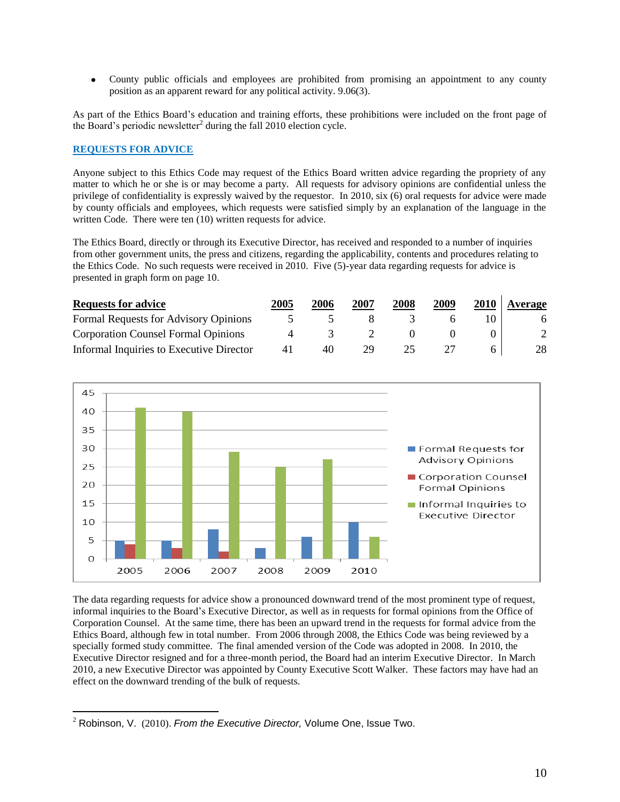County public officials and employees are prohibited from promising an appointment to any county  $\bullet$ position as an apparent reward for any political activity. 9.06(3).

As part of the Ethics Board's education and training efforts, these prohibitions were included on the front page of the Board's periodic newsletter<sup>2</sup> during the fall  $2010$  election cycle.

## **REQUESTS FOR ADVICE**

Anyone subject to this Ethics Code may request of the Ethics Board written advice regarding the propriety of any matter to which he or she is or may become a party. All requests for advisory opinions are confidential unless the privilege of confidentiality is expressly waived by the requestor. In 2010, six (6) oral requests for advice were made by county officials and employees, which requests were satisfied simply by an explanation of the language in the written Code. There were ten (10) written requests for advice.

The Ethics Board, directly or through its Executive Director, has received and responded to a number of inquiries from other government units, the press and citizens, regarding the applicability, contents and procedures relating to the Ethics Code. No such requests were received in 2010. Five (5)-year data regarding requests for advice is presented in graph form on page 10.

| <b>Requests for advice</b>                 | 2005 | 2006 | 2007 | 2008 | 2009 | 2010 | Average |
|--------------------------------------------|------|------|------|------|------|------|---------|
| Formal Requests for Advisory Opinions      |      |      |      |      |      |      | 6       |
| <b>Corporation Counsel Formal Opinions</b> |      |      |      |      |      |      |         |
| Informal Inquiries to Executive Director   | 4 I  | 40   | 29   |      |      |      | 28.     |



The data regarding requests for advice show a pronounced downward trend of the most prominent type of request, informal inquiries to the Board's Executive Director, as well as in requests for formal opinions from the Office of Corporation Counsel. At the same time, there has been an upward trend in the requests for formal advice from the Ethics Board, although few in total number. From 2006 through 2008, the Ethics Code was being reviewed by a specially formed study committee. The final amended version of the Code was adopted in 2008. In 2010, the Executive Director resigned and for a three-month period, the Board had an interim Executive Director. In March 2010, a new Executive Director was appointed by County Executive Scott Walker. These factors may have had an effect on the downward trending of the bulk of requests.

 $\overline{a}$ 

<sup>2</sup> Robinson, V. (2010). *From the Executive Director,* Volume One, Issue Two.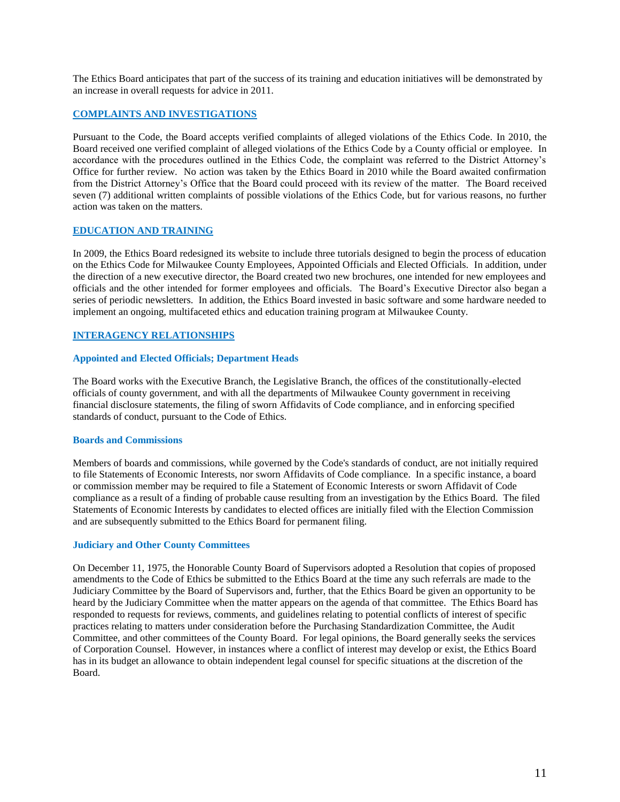The Ethics Board anticipates that part of the success of its training and education initiatives will be demonstrated by an increase in overall requests for advice in 2011.

## **COMPLAINTS AND INVESTIGATIONS**

Pursuant to the Code, the Board accepts verified complaints of alleged violations of the Ethics Code. In 2010, the Board received one verified complaint of alleged violations of the Ethics Code by a County official or employee. In accordance with the procedures outlined in the Ethics Code, the complaint was referred to the District Attorney's Office for further review. No action was taken by the Ethics Board in 2010 while the Board awaited confirmation from the District Attorney's Office that the Board could proceed with its review of the matter. The Board received seven (7) additional written complaints of possible violations of the Ethics Code, but for various reasons, no further action was taken on the matters.

## **EDUCATION AND TRAINING**

In 2009, the Ethics Board redesigned its website to include three tutorials designed to begin the process of education on the Ethics Code for Milwaukee County Employees, Appointed Officials and Elected Officials. In addition, under the direction of a new executive director, the Board created two new brochures, one intended for new employees and officials and the other intended for former employees and officials. The Board's Executive Director also began a series of periodic newsletters. In addition, the Ethics Board invested in basic software and some hardware needed to implement an ongoing, multifaceted ethics and education training program at Milwaukee County.

#### **INTERAGENCY RELATIONSHIPS**

#### **Appointed and Elected Officials; Department Heads**

The Board works with the Executive Branch, the Legislative Branch, the offices of the constitutionally-elected officials of county government, and with all the departments of Milwaukee County government in receiving financial disclosure statements, the filing of sworn Affidavits of Code compliance, and in enforcing specified standards of conduct, pursuant to the Code of Ethics.

#### **Boards and Commissions**

Members of boards and commissions, while governed by the Code's standards of conduct, are not initially required to file Statements of Economic Interests, nor sworn Affidavits of Code compliance. In a specific instance, a board or commission member may be required to file a Statement of Economic Interests or sworn Affidavit of Code compliance as a result of a finding of probable cause resulting from an investigation by the Ethics Board. The filed Statements of Economic Interests by candidates to elected offices are initially filed with the Election Commission and are subsequently submitted to the Ethics Board for permanent filing.

#### **Judiciary and Other County Committees**

On December 11, 1975, the Honorable County Board of Supervisors adopted a Resolution that copies of proposed amendments to the Code of Ethics be submitted to the Ethics Board at the time any such referrals are made to the Judiciary Committee by the Board of Supervisors and, further, that the Ethics Board be given an opportunity to be heard by the Judiciary Committee when the matter appears on the agenda of that committee. The Ethics Board has responded to requests for reviews, comments, and guidelines relating to potential conflicts of interest of specific practices relating to matters under consideration before the Purchasing Standardization Committee, the Audit Committee, and other committees of the County Board. For legal opinions, the Board generally seeks the services of Corporation Counsel. However, in instances where a conflict of interest may develop or exist, the Ethics Board has in its budget an allowance to obtain independent legal counsel for specific situations at the discretion of the Board.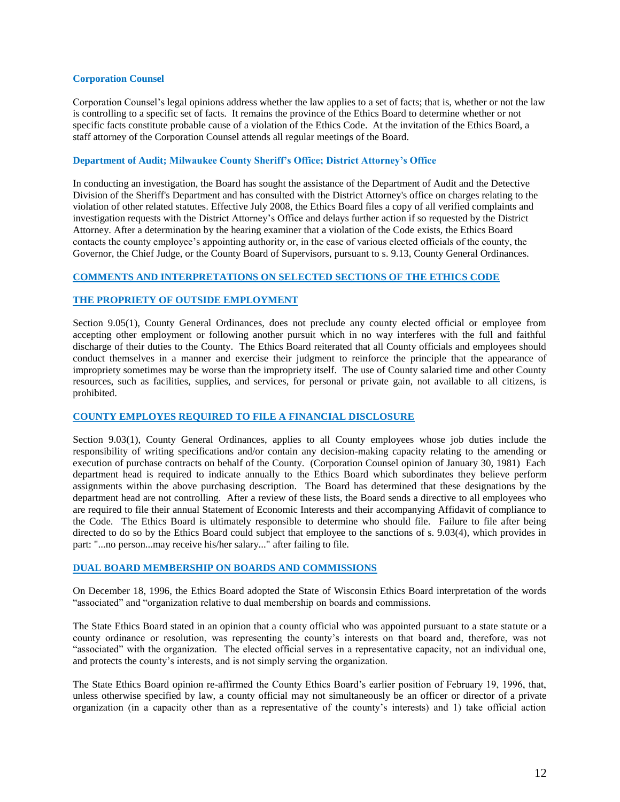#### **Corporation Counsel**

Corporation Counsel's legal opinions address whether the law applies to a set of facts; that is, whether or not the law is controlling to a specific set of facts. It remains the province of the Ethics Board to determine whether or not specific facts constitute probable cause of a violation of the Ethics Code. At the invitation of the Ethics Board, a staff attorney of the Corporation Counsel attends all regular meetings of the Board.

#### **Department of Audit; Milwaukee County Sheriff's Office; District Attorney's Office**

In conducting an investigation, the Board has sought the assistance of the Department of Audit and the Detective Division of the Sheriff's Department and has consulted with the District Attorney's office on charges relating to the violation of other related statutes. Effective July 2008, the Ethics Board files a copy of all verified complaints and investigation requests with the District Attorney's Office and delays further action if so requested by the District Attorney. After a determination by the hearing examiner that a violation of the Code exists, the Ethics Board contacts the county employee's appointing authority or, in the case of various elected officials of the county, the Governor, the Chief Judge, or the County Board of Supervisors, pursuant to s. 9.13, County General Ordinances.

#### **COMMENTS AND INTERPRETATIONS ON SELECTED SECTIONS OF THE ETHICS CODE**

#### **THE PROPRIETY OF OUTSIDE EMPLOYMENT**

Section 9.05(1), County General Ordinances, does not preclude any county elected official or employee from accepting other employment or following another pursuit which in no way interferes with the full and faithful discharge of their duties to the County. The Ethics Board reiterated that all County officials and employees should conduct themselves in a manner and exercise their judgment to reinforce the principle that the appearance of impropriety sometimes may be worse than the impropriety itself. The use of County salaried time and other County resources, such as facilities, supplies, and services, for personal or private gain, not available to all citizens, is prohibited.

#### **COUNTY EMPLOYES REQUIRED TO FILE A FINANCIAL DISCLOSURE**

Section 9.03(1), County General Ordinances, applies to all County employees whose job duties include the responsibility of writing specifications and/or contain any decision-making capacity relating to the amending or execution of purchase contracts on behalf of the County. (Corporation Counsel opinion of January 30, 1981) Each department head is required to indicate annually to the Ethics Board which subordinates they believe perform assignments within the above purchasing description. The Board has determined that these designations by the department head are not controlling. After a review of these lists, the Board sends a directive to all employees who are required to file their annual Statement of Economic Interests and their accompanying Affidavit of compliance to the Code. The Ethics Board is ultimately responsible to determine who should file. Failure to file after being directed to do so by the Ethics Board could subject that employee to the sanctions of s. 9.03(4), which provides in part: "...no person...may receive his/her salary..." after failing to file.

## **DUAL BOARD MEMBERSHIP ON BOARDS AND COMMISSIONS**

On December 18, 1996, the Ethics Board adopted the State of Wisconsin Ethics Board interpretation of the words "associated" and "organization relative to dual membership on boards and commissions.

The State Ethics Board stated in an opinion that a county official who was appointed pursuant to a state statute or a county ordinance or resolution, was representing the county's interests on that board and, therefore, was not "associated" with the organization. The elected official serves in a representative capacity, not an individual one, and protects the county's interests, and is not simply serving the organization.

The State Ethics Board opinion re-affirmed the County Ethics Board's earlier position of February 19, 1996, that, unless otherwise specified by law, a county official may not simultaneously be an officer or director of a private organization (in a capacity other than as a representative of the county's interests) and 1) take official action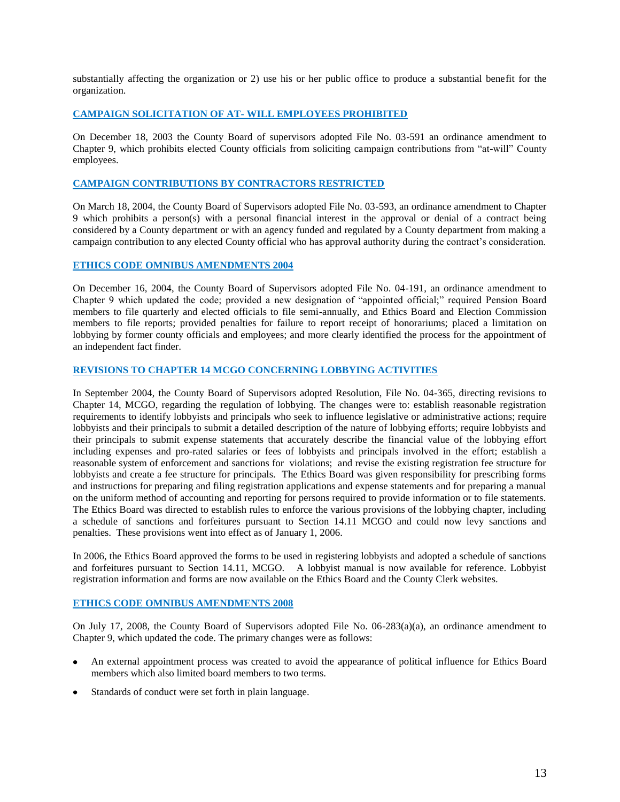substantially affecting the organization or 2) use his or her public office to produce a substantial benefit for the organization.

## **CAMPAIGN SOLICITATION OF AT- WILL EMPLOYEES PROHIBITED**

On December 18, 2003 the County Board of supervisors adopted File No. 03-591 an ordinance amendment to Chapter 9, which prohibits elected County officials from soliciting campaign contributions from "at-will" County employees.

# **CAMPAIGN CONTRIBUTIONS BY CONTRACTORS RESTRICTED**

On March 18, 2004, the County Board of Supervisors adopted File No. 03-593, an ordinance amendment to Chapter 9 which prohibits a person(s) with a personal financial interest in the approval or denial of a contract being considered by a County department or with an agency funded and regulated by a County department from making a campaign contribution to any elected County official who has approval authority during the contract's consideration.

#### **ETHICS CODE OMNIBUS AMENDMENTS 2004**

On December 16, 2004, the County Board of Supervisors adopted File No. 04-191, an ordinance amendment to Chapter 9 which updated the code; provided a new designation of "appointed official;" required Pension Board members to file quarterly and elected officials to file semi-annually, and Ethics Board and Election Commission members to file reports; provided penalties for failure to report receipt of honorariums; placed a limitation on lobbying by former county officials and employees; and more clearly identified the process for the appointment of an independent fact finder.

## **REVISIONS TO CHAPTER 14 MCGO CONCERNING LOBBYING ACTIVITIES**

In September 2004, the County Board of Supervisors adopted Resolution, File No. 04-365, directing revisions to Chapter 14, MCGO, regarding the regulation of lobbying. The changes were to: establish reasonable registration requirements to identify lobbyists and principals who seek to influence legislative or administrative actions; require lobbyists and their principals to submit a detailed description of the nature of lobbying efforts; require lobbyists and their principals to submit expense statements that accurately describe the financial value of the lobbying effort including expenses and pro-rated salaries or fees of lobbyists and principals involved in the effort; establish a reasonable system of enforcement and sanctions for violations; and revise the existing registration fee structure for lobbyists and create a fee structure for principals. The Ethics Board was given responsibility for prescribing forms and instructions for preparing and filing registration applications and expense statements and for preparing a manual on the uniform method of accounting and reporting for persons required to provide information or to file statements. The Ethics Board was directed to establish rules to enforce the various provisions of the lobbying chapter, including a schedule of sanctions and forfeitures pursuant to Section 14.11 MCGO and could now levy sanctions and penalties. These provisions went into effect as of January 1, 2006.

In 2006, the Ethics Board approved the forms to be used in registering lobbyists and adopted a schedule of sanctions and forfeitures pursuant to Section 14.11, MCGO. A lobbyist manual is now available for reference. Lobbyist registration information and forms are now available on the Ethics Board and the County Clerk websites.

## **ETHICS CODE OMNIBUS AMENDMENTS 2008**

On July 17, 2008, the County Board of Supervisors adopted File No. 06-283(a)(a), an ordinance amendment to Chapter 9, which updated the code. The primary changes were as follows:

- An external appointment process was created to avoid the appearance of political influence for Ethics Board members which also limited board members to two terms.
- Standards of conduct were set forth in plain language.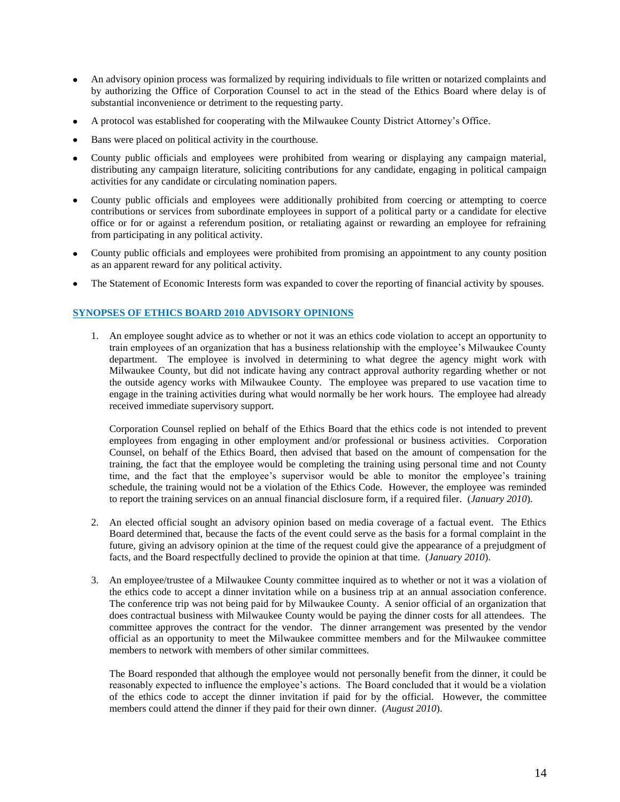- An advisory opinion process was formalized by requiring individuals to file written or notarized complaints and by authorizing the Office of Corporation Counsel to act in the stead of the Ethics Board where delay is of substantial inconvenience or detriment to the requesting party.
- A protocol was established for cooperating with the Milwaukee County District Attorney's Office.
- Bans were placed on political activity in the courthouse.
- County public officials and employees were prohibited from wearing or displaying any campaign material, distributing any campaign literature, soliciting contributions for any candidate, engaging in political campaign activities for any candidate or circulating nomination papers.
- County public officials and employees were additionally prohibited from coercing or attempting to coerce contributions or services from subordinate employees in support of a political party or a candidate for elective office or for or against a referendum position, or retaliating against or rewarding an employee for refraining from participating in any political activity.
- County public officials and employees were prohibited from promising an appointment to any county position as an apparent reward for any political activity.
- The Statement of Economic Interests form was expanded to cover the reporting of financial activity by spouses.

# **SYNOPSES OF ETHICS BOARD 2010 ADVISORY OPINIONS**

1. An employee sought advice as to whether or not it was an ethics code violation to accept an opportunity to train employees of an organization that has a business relationship with the employee's Milwaukee County department. The employee is involved in determining to what degree the agency might work with Milwaukee County, but did not indicate having any contract approval authority regarding whether or not the outside agency works with Milwaukee County. The employee was prepared to use vacation time to engage in the training activities during what would normally be her work hours. The employee had already received immediate supervisory support.

Corporation Counsel replied on behalf of the Ethics Board that the ethics code is not intended to prevent employees from engaging in other employment and/or professional or business activities. Corporation Counsel, on behalf of the Ethics Board, then advised that based on the amount of compensation for the training, the fact that the employee would be completing the training using personal time and not County time, and the fact that the employee's supervisor would be able to monitor the employee's training schedule, the training would not be a violation of the Ethics Code. However, the employee was reminded to report the training services on an annual financial disclosure form, if a required filer. (*January 2010*).

- 2. An elected official sought an advisory opinion based on media coverage of a factual event. The Ethics Board determined that, because the facts of the event could serve as the basis for a formal complaint in the future, giving an advisory opinion at the time of the request could give the appearance of a prejudgment of facts, and the Board respectfully declined to provide the opinion at that time. (*January 2010*).
- 3. An employee/trustee of a Milwaukee County committee inquired as to whether or not it was a violation of the ethics code to accept a dinner invitation while on a business trip at an annual association conference. The conference trip was not being paid for by Milwaukee County. A senior official of an organization that does contractual business with Milwaukee County would be paying the dinner costs for all attendees. The committee approves the contract for the vendor. The dinner arrangement was presented by the vendor official as an opportunity to meet the Milwaukee committee members and for the Milwaukee committee members to network with members of other similar committees.

The Board responded that although the employee would not personally benefit from the dinner, it could be reasonably expected to influence the employee's actions. The Board concluded that it would be a violation of the ethics code to accept the dinner invitation if paid for by the official. However, the committee members could attend the dinner if they paid for their own dinner. (*August 2010*).